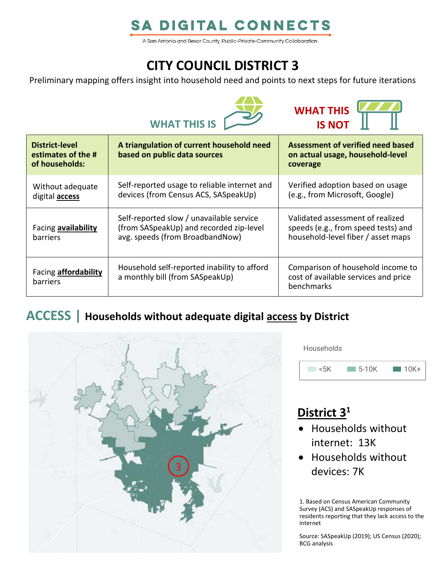# **SA DIGITAL CONNECTS**

A San Antonio and Bexar County, Public-Private-Community Collaboration

# **CITY COUNCIL DISTRICT 3**

Preliminary mapping offers insight into household need and points to next steps for future iterations





| District-level<br>estimates of the #<br>of households: | A triangulation of current household need<br>based on public data sources                                              | Assessment of verified need based<br>on actual usage, household-level<br>coverage                             |
|--------------------------------------------------------|------------------------------------------------------------------------------------------------------------------------|---------------------------------------------------------------------------------------------------------------|
| Without adequate<br>digital <b>access</b>              | Self-reported usage to reliable internet and<br>devices (from Census ACS, SASpeakUp)                                   | Verified adoption based on usage<br>(e.g., from Microsoft, Google)                                            |
| Facing availability<br>barriers                        | Self-reported slow / unavailable service<br>(from SASpeakUp) and recorded zip-level<br>avg. speeds (from BroadbandNow) | Validated assessment of realized<br>speeds (e.g., from speed tests) and<br>household-level fiber / asset maps |
| Facing <b>affordability</b><br>barriers                | Household self-reported inability to afford<br>a monthly bill (from SASpeakUp)                                         | Comparison of household income to<br>cost of available services and price<br>benchmarks                       |

### **ACCESS | Households without adequate digital access by District**



**Households** 



## **District 3 1**

- Households without internet: 13K
- Households without devices: 7K

1. Based on Census American Community Survey (ACS) and SASpeakUp responses of residents reporting that they lack access to the internet

Source: SASpeakUp (2019); US Census (2020); BCG analysis